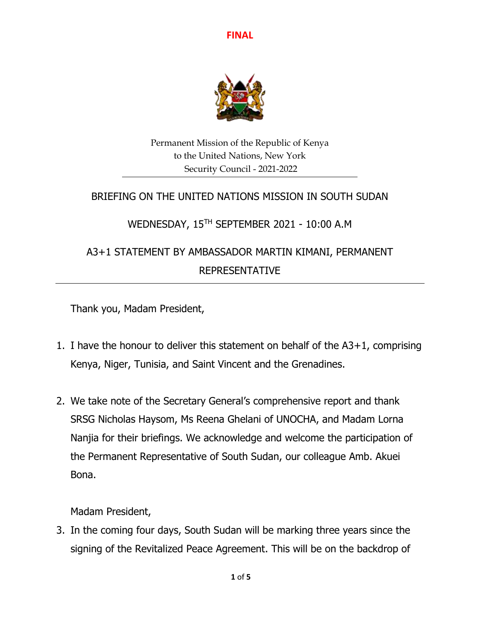

Permanent Mission of the Republic of Kenya to the United Nations, New York Security Council - 2021-2022

## BRIEFING ON THE UNITED NATIONS MISSION IN SOUTH SUDAN

# WEDNESDAY, 15 TH SEPTEMBER 2021 - 10:00 A.M

# A3+1 STATEMENT BY AMBASSADOR MARTIN KIMANI, PERMANENT REPRESENTATIVE

Thank you, Madam President,

- 1. I have the honour to deliver this statement on behalf of the A3+1, comprising Kenya, Niger, Tunisia, and Saint Vincent and the Grenadines.
- 2. We take note of the Secretary General's comprehensive report and thank SRSG Nicholas Haysom, Ms Reena Ghelani of UNOCHA, and Madam Lorna Nanjia for their briefings. We acknowledge and welcome the participation of the Permanent Representative of South Sudan, our colleague Amb. Akuei Bona.

Madam President,

3. In the coming four days, South Sudan will be marking three years since the signing of the Revitalized Peace Agreement. This will be on the backdrop of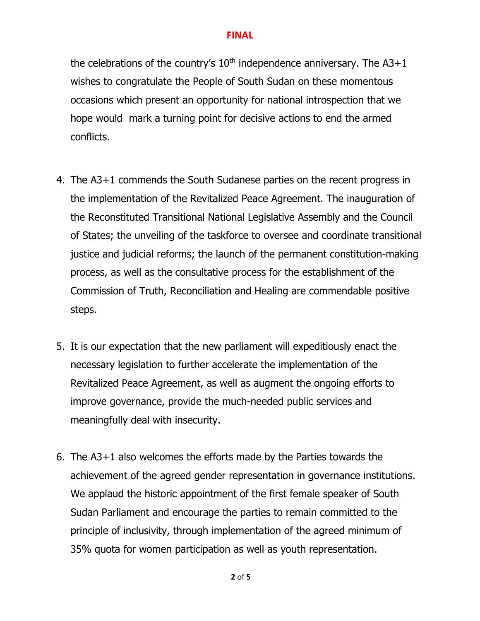the celebrations of the country's  $10<sup>th</sup>$  independence anniversary. The A3+1 wishes to congratulate the People of South Sudan on these momentous occasions which present an opportunity for national introspection that we hope would mark a turning point for decisive actions to end the armed conflicts.

- 4. The A3+1 commends the South Sudanese parties on the recent progress in the implementation of the Revitalized Peace Agreement. The inauguration of the Reconstituted Transitional National Legislative Assembly and the Council of States; the unveiling of the taskforce to oversee and coordinate transitional justice and judicial reforms; the launch of the permanent constitution-making process, as well as the consultative process for the establishment of the Commission of Truth, Reconciliation and Healing are commendable positive steps.
- 5. It is our expectation that the new parliament will expeditiously enact the necessary legislation to further accelerate the implementation of the Revitalized Peace Agreement, as well as augment the ongoing efforts to improve governance, provide the much-needed public services and meaningfully deal with insecurity.
- 6. The A3+1 also welcomes the efforts made by the Parties towards the achievement of the agreed gender representation in governance institutions. We applaud the historic appointment of the first female speaker of South Sudan Parliament and encourage the parties to remain committed to the principle of inclusivity, through implementation of the agreed minimum of 35% quota for women participation as well as youth representation.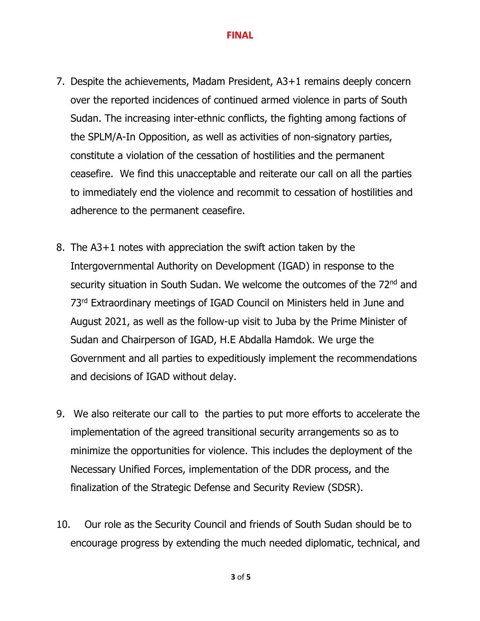- 7. Despite the achievements, Madam President, A3+1 remains deeply concern over the reported incidences of continued armed violence in parts of South Sudan. The increasing inter-ethnic conflicts, the fighting among factions of the SPLM/A-In Opposition, as well as activities of non-signatory parties, constitute a violation of the cessation of hostilities and the permanent ceasefire. We find this unacceptable and reiterate our call on all the parties to immediately end the violence and recommit to cessation of hostilities and adherence to the permanent ceasefire.
- 8. The A3+1 notes with appreciation the swift action taken by the Intergovernmental Authority on Development (IGAD) in response to the security situation in South Sudan. We welcome the outcomes of the 72<sup>nd</sup> and 73<sup>rd</sup> Extraordinary meetings of IGAD Council on Ministers held in June and August 2021, as well as the follow-up visit to Juba by the Prime Minister of Sudan and Chairperson of IGAD, H.E Abdalla Hamdok. We urge the Government and all parties to expeditiously implement the recommendations and decisions of IGAD without delay.
- 9. We also reiterate our call to the parties to put more efforts to accelerate the implementation of the agreed transitional security arrangements so as to minimize the opportunities for violence. This includes the deployment of the Necessary Unified Forces, implementation of the DDR process, and the finalization of the Strategic Defense and Security Review (SDSR).
- 10. Our role as the Security Council and friends of South Sudan should be to encourage progress by extending the much needed diplomatic, technical, and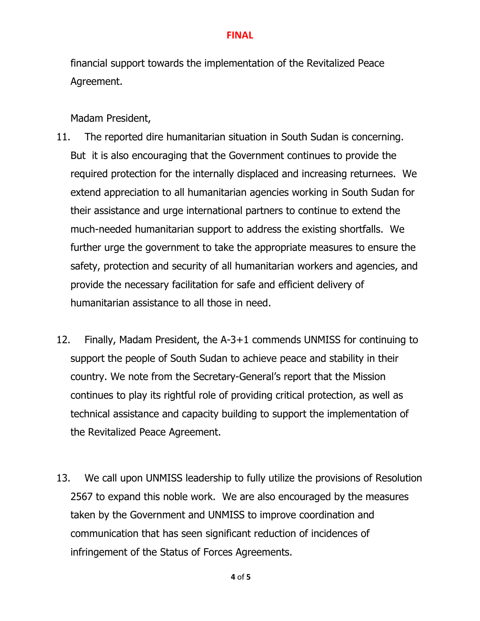financial support towards the implementation of the Revitalized Peace Agreement.

Madam President,

- 11. The reported dire humanitarian situation in South Sudan is concerning. But it is also encouraging that the Government continues to provide the required protection for the internally displaced and increasing returnees. We extend appreciation to all humanitarian agencies working in South Sudan for their assistance and urge international partners to continue to extend the much-needed humanitarian support to address the existing shortfalls. We further urge the government to take the appropriate measures to ensure the safety, protection and security of all humanitarian workers and agencies, and provide the necessary facilitation for safe and efficient delivery of humanitarian assistance to all those in need.
- 12. Finally, Madam President, the A-3+1 commends UNMISS for continuing to support the people of South Sudan to achieve peace and stability in their country. We note from the Secretary-General's report that the Mission continues to play its rightful role of providing critical protection, as well as technical assistance and capacity building to support the implementation of the Revitalized Peace Agreement.
- 13. We call upon UNMISS leadership to fully utilize the provisions of Resolution 2567 to expand this noble work. We are also encouraged by the measures taken by the Government and UNMISS to improve coordination and communication that has seen significant reduction of incidences of infringement of the Status of Forces Agreements.